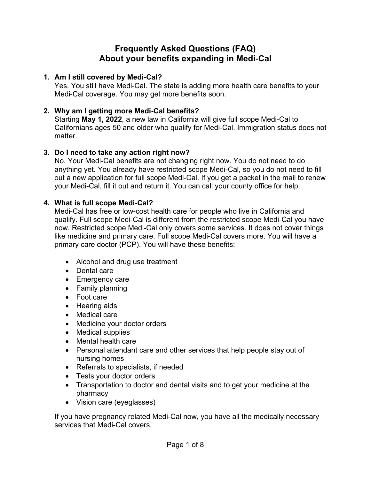# **Frequently Asked Questions (FAQ) About your benefits expanding in Medi**‑**Cal**

### **1. Am I still covered by Medi-Cal?**

Yes. You still have Medi-Cal. The state is adding more health care benefits to your Medi-Cal coverage. You may get more benefits soon.

### **2. Why am I getting more Medi-Cal benefits?**

Starting **May 1, 2022**, a new law in California will give full scope Medi-Cal to Californians ages 50 and older who qualify for Medi-Cal. Immigration status does not matter.

### **3. Do I need to take any action right now?**

No. Your Medi-Cal benefits are not changing right now. You do not need to do anything yet. You already have restricted scope Medi-Cal, so you do not need to fill out a new application for full scope Medi-Cal. If you get a packet in the mail to renew your Medi-Cal, fill it out and return it. You can call your county office for help.

#### **4. What is full scope Medi**‑**Cal?**

Medi-Cal has free or low-cost health care for people who live in California and qualify. Full scope Medi-Cal is different from the restricted scope Medi-Cal you have now. Restricted scope Medi-Cal only covers some services. It does not cover things like medicine and primary care. Full scope Medi-Cal covers more. You will have a primary care doctor (PCP). You will have these benefits:

- Alcohol and drug use treatment
- Dental care
- Emergency care
- Family planning
- Foot care
- Hearing aids
- Medical care
- Medicine your doctor orders
- Medical supplies
- Mental health care
- Personal attendant care and other services that help people stay out of nursing homes
- Referrals to specialists, if needed
- Tests your doctor orders
- Transportation to doctor and dental visits and to get your medicine at the pharmacy
- Vision care (eyeglasses)

If you have pregnancy related Medi-Cal now, you have all the medically necessary services that Medi-Cal covers.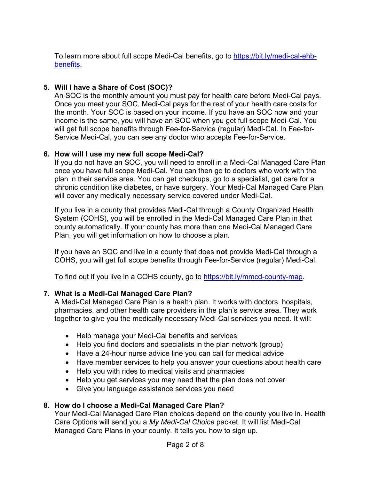To learn more about full scope Medi-Cal benefits, go to [https://bit.ly/medi-cal-ehb](https://bit.ly/medi-cal-ehb-benefits)benefits.

# **5. Will I have a Share of Cost (SOC)?**

An SOC is the monthly amount you must pay for health care before Medi-Cal pays. Once you meet your SOC, Medi-Cal pays for the rest of your health care costs for the month. Your SOC is based on your income. If you have an SOC now and your income is the same, you will have an SOC when you get full scope Medi-Cal. You will get full scope benefits through Fee-for-Service (regular) Medi-Cal. In Fee-for-Service Medi-Cal, you can see any doctor who accepts Fee-for-Service.

### **6. How will I use my new full scope Medi-Cal?**

If you do not have an SOC, you will need to enroll in a Medi-Cal Managed Care Plan once you have full scope Medi-Cal. You can then go to doctors who work with the plan in their service area. You can get checkups, go to a specialist, get care for a chronic condition like diabetes, or have surgery. Your Medi-Cal Managed Care Plan will cover any medically necessary service covered under Medi-Cal.

If you live in a county that provides Medi-Cal through a County Organized Health System (COHS), you will be enrolled in the Medi-Cal Managed Care Plan in that county automatically. If your county has more than one Medi-Cal Managed Care Plan, you will get information on how to choose a plan.

If you have an SOC and live in a county that does **not** provide Medi-Cal through a COHS, you will get full scope benefits through Fee-for-Service (regular) Medi-Cal.

To find out if you live in a COHS county, go to [https://bit.ly/mmcd-county-map.](https://bit.ly/mmcd-county-map)

# **7. What is a Medi-Cal Managed Care Plan?**

A Medi-Cal Managed Care Plan is a health plan. It works with doctors, hospitals, pharmacies, and other health care providers in the plan's service area. They work together to give you the medically necessary Medi-Cal services you need. It will:

- Help manage your Medi-Cal benefits and services
- Help you find doctors and specialists in the plan network (group)
- Have a 24-hour nurse advice line you can call for medical advice
- Have member services to help you answer your questions about health care
- Help you with rides to medical visits and pharmacies
- Help you get services you may need that the plan does not cover
- Give you language assistance services you need

# **8. How do I choose a Medi-Cal Managed Care Plan?**

Your Medi-Cal Managed Care Plan choices depend on the county you live in. Health Care Options will send you a *My Medi-Cal Choice* packet. It will list Medi-Cal Managed Care Plans in your county. It tells you how to sign up.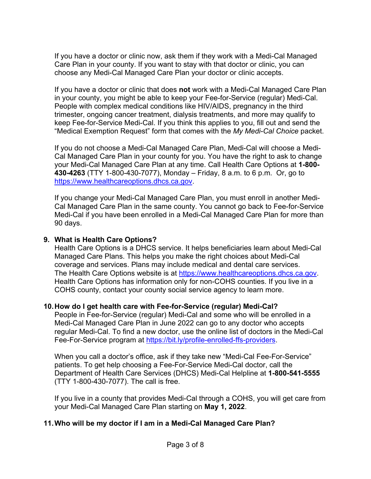If you have a doctor or clinic [now, ask them](https://www.healthcareoptions.dhcs.ca.gov/) if they work with a Medi-Cal Managed Care Plan in [your county. If you want to stay with that](https://gcc02.safelinks.protection.outlook.com/?url=https%3A%2F%2Fbit.ly%2Fimmigration-service-contractors&data=04%7C01%7CJillian.Davis%40dhcs.ca.gov%7C2171570dbe9e42926c0508d9f2fbb28b%7C265c2dcd2a6e43aab2e826421a8c8526%7C0%7C0%7C637807985121369965%7CUnknown%7CTWFpbGZsb3d8eyJWIjoiMC4wLjAwMDAiLCJQIjoiV2luMzIiLCJBTiI6Ik1haWwiLCJXVCI6Mn0%3D%7C3000&sdata=O8zbGKHf9OfqHOnPPtba22UgnA6OlJhVLfxYL7CGtTU%3D&reserved=0) doctor or clinic, you can choose any Medi-Cal Managed Care Plan your doctor or clinic accepts.

If you have a [doctor or](https://immigrantguide.ca.gov/) clinic that does **not** work with a Medi-Cal Managed Care Plan in your county, you might be able to keep your Fee-for-Service (regular) Medi-Cal. People with complex medical conditions like HIV/AIDS, pregnancy in the third trimester, ongoing c[ancer treatment, dialysis treatments, and](https://bit.ly/calhhs-public-charge-guide) more may qualify to keep Fee-for-Service Medi-Cal. If you think this applies to you, fill out and send the "Medical Exemption Request" form [that comes](https://bit.ly/medi-cal-transportation) with the *My Medi-Cal Choice* packet.

If you do not choose a Medi-Cal Managed Care Plan, Medi-Cal will choose a Medi-[Cal Managed Care](mailto:DHCSNMT@dhcs.ca.gov) Plan in your county for you. You have the right to ask to change your Medi-Cal Managed Care Plan at any time. Call Health Care Options at **1-800- 430-4263** (TTY 1-800-430-7077), Monday – Friday, 8 a.m. to 6 p.m. Or, go to [https://www.healthcareoptions.dhcs.ca.gov.](https://www.healthcareoptions.dhcs.ca.gov/)

If you change your Medi-Cal Managed Care Plan, you must enroll in another Medi-Cal Managed Care Plan in the same county. You cannot go back to Fee-for-Service Medi-Cal if you have been enrolled in a Medi-Cal Managed Care Plan for more than 90 days.

#### **9. What is Health Care Options?**

Health Care Options is a DHCS service. It helps beneficiaries learn about Medi-Cal Managed Care Plans. This helps you make the right choices about Medi-Cal coverage and services. Plans may include medical and dental care services. The Health Care Options website is at [https://www.healthcareoptions.dhcs.ca.gov.](https://www.healthcareoptions.dhcs.ca.gov/) Health Care Options has information only for non-COHS counties. If you live in a [COHS county, contact your c](https://bit.ly/mhp-contact-list)ounty social service agency to learn more.

#### **10.How do I get health care with Fee-for-Service (regular) Medi-Cal?**

People in Fee-for-Service (regular) Medi-Cal and some who will be enrolled in a Medi-Cal Managed Care Plan in June 2022 can go to any doctor who accepts regular Medi-Cal. To find a new doctor, use the online list of doctors in the Medi-Cal Fee-For-Service program at [https://bit.ly/profile-enrolled-ffs-providers.](https://bit.ly/profile-enrolled-ffs-providers)

When you call a doctor's office, ask if they take [new "Medi-Cal Fee-For-Service](https://bit.ly/older-adult-expansion)" patients. To [get help choosing a Fee-For-Service](mailto:OlderAdultExpansion@dhcs.ca.gov) Medi-Cal doctor, call the Department of Health Care Services (DHCS) Medi-Cal Helpline at **1-800-541-5555** (TTY 1-8[00-430-7077\). The](http://smilecalifornia.org/) call is free.

If you live in a county that provides Medi-Cal through a COHS, you will get care from your Medi-Cal Managed Care Plan starting on **May 1, 2022**.

# **11.Who will be my doctor if I am in a Medi-Cal Managed Care Plan?**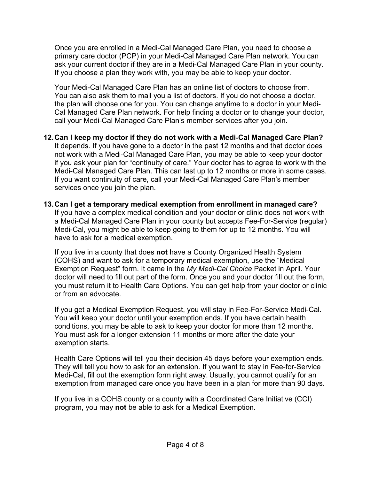Once you are enrolled in a Medi-Cal Managed Care Plan, you need to choose a primary care doctor (PCP) in your Medi-Cal Managed Care Plan network. You can ask your current doctor if they are in a Medi-Cal Managed Care Plan in your county. If you choose a plan they work with, you may be able to keep your doctor.

Your Medi-Cal Managed Care Plan has an online list of doctors to choose from. You can also ask them to mail you a list of doctors. If you do not choose a doctor, the plan will choose one for you. You can change anytime to a doctor in your Medi-Cal Managed Care Plan network. For help finding a doctor or to change your doctor, call your Medi-Cal Managed Care Plan's member services after you join.

- **12.Can I keep my doctor if they do not work with a Medi**‑**Cal Managed Care Plan?** It depends. If you have gone to a doctor in the past 12 months and that doctor does not work with a Medi‑Cal Managed Care Plan, you may be able to keep your doctor if you ask your plan for "continuity of care." Your doctor has to agree to work with the Medi-Cal Managed Care Plan. This can last up to 12 months or more in some cases. If you want continuity of care, call your Medi-Cal Managed Care Plan's member services once you join the plan.
- **13.Can I get a temporary medical exemption from enrollment in managed care?**  If you have a complex medical condition and your doctor or clinic does not work with a Medi-Cal Managed Care Plan in your county but accepts Fee-For-Service (regular) Medi-Cal, you might be able to keep going to them for up to 12 months. You will have to ask for a medical exemption.

If you live in a county that does **not** have a County Organized Health System (COHS) and want to ask for a temporary medical exemption, use the "Medical Exemption Request" form. It came in the *My Medi-Cal Choice* Packet in April. Your doctor will need to fill out part of the form. Once you and your doctor fill out the form, you must return it to Health Care Options. You can get help from your doctor or clinic or from an advocate.

If you get a Medical Exemption Request, you will stay in Fee-For-Service Medi-Cal. You will keep your doctor until your exemption ends. If you have certain health conditions, you may be able to ask to keep your doctor for more than 12 months. You must ask for a longer extension 11 months or more after the date your exemption starts.

Health Care Options will tell you their decision 45 days before your exemption ends. They will tell you how to ask for an extension. If you want to stay in Fee-for-Service Medi-Cal, fill out the exemption form right away. Usually, you cannot qualify for an exemption from managed care once you have been in a plan for more than 90 days.

If you live in a COHS county or a county with a Coordinated Care Initiative (CCI) program, you may **not** be able to ask for a Medical Exemption.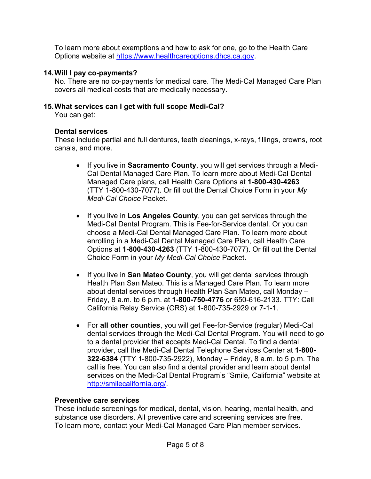To learn more about exemptions and how to ask for one, go to the Health Care Options website at https://www.healthcareoptions.dhcs.ca.gov.

### **14.Will I pay co-payments?**

No. There are no co-payments for medical care. The Medi-Cal Managed Care Plan covers all medical costs that are medically necessary.

### **15.What services can I get with full scope Medi-Cal?**

You can get:

### **Dental services**

These include partial and full dentures, teeth cleanings, x-rays, fillings, crowns, root canals, and more.

- If you live in **Sacramento County**, you will get services through a Medi-Cal Dental Managed Care Plan. To learn more about Medi-Cal Dental Managed Care plans, call Health Care Options at **1-800-430-4263** (TTY 1-800-430-7077). Or fill out the Dental Choice Form in your *My Medi-Cal Choice* Packet.
- If you live in **Los Angeles County**, you can get services through the Medi-Cal Dental Program. This is Fee-for-Service dental. Or you can choose a Medi-Cal Dental Managed Care Plan. To learn more about enrolling in a Medi-Cal Dental Managed Care Plan, call Health Care Options at **1-800-430-4263** (TTY 1-800-430-7077). Or fill out the Dental Choice Form in your *My Medi-Cal Choice* Packet.
- If you live in **San Mateo County**, you will get dental services through Health Plan San Mateo. This is a Managed Care Plan. To learn more about dental services through Health Plan San Mateo, call Monday – Friday, 8 a.m. to 6 p.m. at **1-800-750-4776** or 650-616-2133. TTY: Call California Relay Service (CRS) at 1-800-735-2929 or 7-1-1.
- For **all other counties**, you will get Fee-for-Service (regular) Medi-Cal dental services through the Medi-Cal Dental Program. You will need to go to a dental provider that accepts Medi-Cal Dental. To find a dental provider, call the Medi-Cal Dental Telephone Services Center at **1-800- 322-6384** (TTY 1-800-735-2922), Monday – Friday, 8 a.m. to 5 p.m. The call is free. You can also find a dental provider and learn about dental services on the Medi-Cal Dental Program's "Smile, California" website at http://smilecalifornia.org/.

#### **Preventive care services**

These include screenings for medical, dental, vision, hearing, mental health, and substance use disorders. All preventive care and screening services are free. To learn more, contact your Medi-Cal Managed Care Plan member services.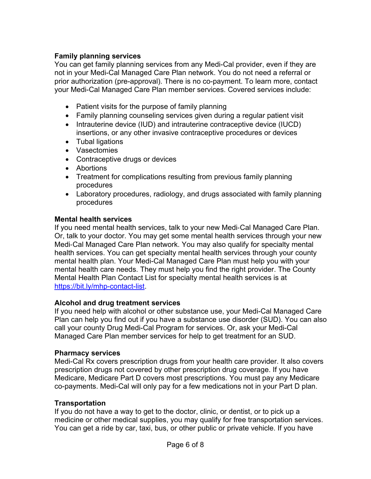### **Family planning services**

You can get family planning services from any Medi-Cal provider, even if they are not in your Medi-Cal Managed Care Plan network. You do not need a referral or prior authorization (pre-approval). There is no co-payment. To learn more, contact your Medi-Cal Managed Care Plan member services. Covered services include:

- Patient visits for the purpose of family planning
- Family planning counseling services given during a regular patient visit
- Intrauterine device (IUD) and intrauterine contraceptive device (IUCD) insertions, or any other invasive contraceptive procedures or devices
- Tubal ligations
- Vasectomies
- Contraceptive drugs or devices
- Abortions
- Treatment for complications resulting from previous family planning procedures
- Laboratory procedures, radiology, and drugs associated with family planning procedures

#### **Mental health services**

If you need mental health services, talk to your new Medi‑Cal Managed Care Plan. Or, talk to your doctor. You may get some mental health services through your new Medi-Cal Managed Care Plan network. You may also qualify for specialty mental health services. You can get specialty mental health services through your county mental health plan. Your Medi-Cal Managed Care Plan must help you with your mental health care needs. They must help you find the right provider. The County Mental Health Plan Contact List for specialty mental health services is at https://bit.ly/mhp-contact-list.

#### **Alcohol and drug treatment services**

If you need help with alcohol or other substance use, your Medi-Cal Managed Care Plan can help you find out if you have a substance use disorder (SUD). You can also call your county Drug Medi-Cal Program for services. Or, ask your Medi-Cal Managed Care Plan member services for help to get treatment for an SUD.

#### **Pharmacy services**

Medi-Cal Rx covers prescription drugs from your health care provider. It also covers prescription drugs not covered by other prescription drug coverage. If you have Medicare, Medicare Part D covers most prescriptions. You must pay any Medicare co-payments. Medi-Cal will only pay for a few medications not in your Part D plan.

#### **Transportation**

If you do not have a way to get to the doctor, clinic, or dentist, or to pick up a medicine or other medical supplies, you may qualify for free transportation services. You can get a ride by car, taxi, bus, or other public or private vehicle. If you have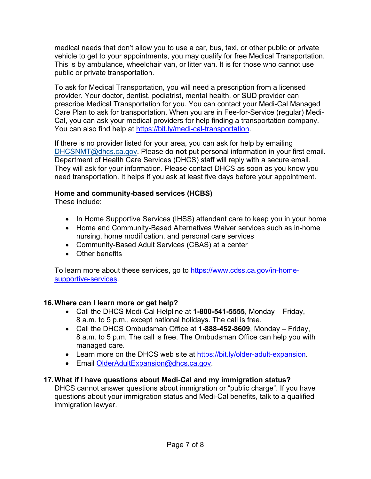medical needs that don't allow you to use a car, bus, taxi, or other public or private vehicle to get to your appointments, you may qualify for free Medical Transportation. This is by ambulance, wheelchair van, or litter van. It is for those who cannot use public or private transportation.

To ask for Medical Transportation, you will need a prescription from a licensed provider. Your doctor, dentist, podiatrist, mental health, or SUD provider can prescribe Medical Transportation for you. You can contact your Medi-Cal Managed Care Plan to ask for transportation. When you are in Fee-for-Service (regular) Medi-Cal, you can ask your medical providers for help finding a transportation company. You can also find help at https://bit.ly/medi-cal-transportation.

If there is no provider listed for your area, you can ask for help by emailing DHCSNMT@dhcs.ca.gov. Please do **not** put personal information in your first email. Department of Health Care Services (DHCS) staff will reply with a secure email. They will ask for your information. Please contact DHCS as soon as you know you need transportation. It helps if you ask at least five days before your appointment.

### **Home and community-based services (HCBS)**

These include:

- In Home Supportive Services (IHSS) attendant care to keep you in your home
- Home and Community-Based Alternatives Waiver services such as in-home nursing, home modification, and personal care services
- Community-Based Adult Services (CBAS) at a center
- Other benefits

To learn more about these services, go to https://www.cdss.ca.gov/in-homesupportive-services.

# **16.Where can I learn more or get help?**

- Call the DHCS Medi-Cal Helpline at **1-800-541-5555**, Monday Friday, 8 a.m. to 5 p.m., except national holidays. The call is free.
- Call the DHCS Ombudsman Office at **1-888-452-8609**, Monday Friday, 8 a.m. to 5 p.m. The call is free. The Ombudsman Office can help you with managed care.
- Learn more on the DHCS web site at https://bit.ly/older-adult-expansion.
- Email OlderAdultExpansion@dhcs.ca.gov.

# **17.What if I have questions about Medi-Cal and my immigration status?**

DHCS cannot answer questions about immigration or "public charge". If you have questions about your immigration status and Medi-Cal benefits, talk to a qualified immigration lawyer.